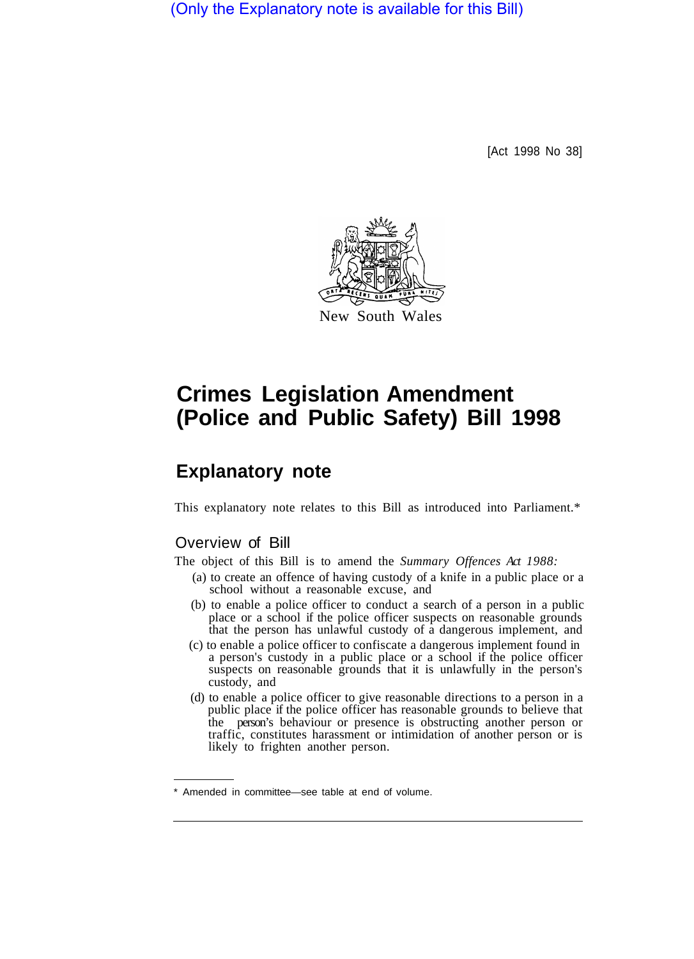(Only the Explanatory note is available for this Bill)

[Act 1998 No 38]



# **Crimes Legislation Amendment (Police and Public Safety) Bill 1998**

# **Explanatory note**

This explanatory note relates to this Bill as introduced into Parliament.\*

# Overview of Bill

The object of this Bill is to amend the *Summary Offences Act 1988:* 

- (a) to create an offence of having custody of a knife in a public place or a school without a reasonable excuse, and
- (b) to enable a police officer to conduct a search of a person in a public place or a school if the police officer suspects on reasonable grounds that the person has unlawful custody of a dangerous implement, and
- (c) to enable a police officer to confiscate a dangerous implement found in a person's custody in a public place or a school if the police officer suspects on reasonable grounds that it is unlawfully in the person's custody, and
- (d) to enable a police officer to give reasonable directions to a person in a public place if the police officer has reasonable grounds to believe that the person's behaviour or presence is obstructing another person or traffic, constitutes harassment or intimidation of another person or is likely to frighten another person.

Amended in committee—see table at end of volume.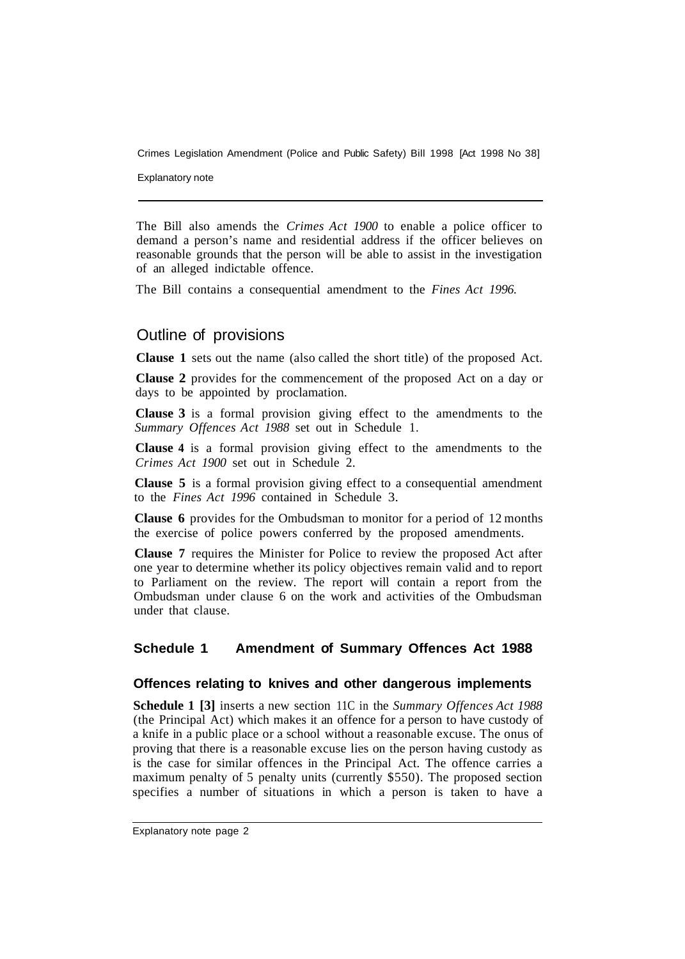Explanatory note

The Bill also amends the *Crimes Act 1900* to enable a police officer to demand a person's name and residential address if the officer believes on reasonable grounds that the person will be able to assist in the investigation of an alleged indictable offence.

The Bill contains a consequential amendment to the *Fines Act 1996.* 

# Outline of provisions

**Clause 1** sets out the name (also called the short title) of the proposed Act.

**Clause 2** provides for the commencement of the proposed Act on a day or days to be appointed by proclamation.

**Clause 3** is a formal provision giving effect to the amendments to the *Summary Offences Act 1988* set out in Schedule 1.

**Clause 4** is a formal provision giving effect to the amendments to the *Crimes Act 1900* set out in Schedule 2.

**Clause 5** is a formal provision giving effect to a consequential amendment to the *Fines Act 1996* contained in Schedule 3.

**Clause 6** provides for the Ombudsman to monitor for a period of 12 months the exercise of police powers conferred by the proposed amendments.

**Clause 7** requires the Minister for Police to review the proposed Act after one year to determine whether its policy objectives remain valid and to report to Parliament on the review. The report will contain a report from the Ombudsman under clause 6 on the work and activities of the Ombudsman under that clause.

# **Schedule 1 Amendment of Summary Offences Act 1988**

#### **Offences relating to knives and other dangerous implements**

**Schedule 1 [3]** inserts a new section 11C in the *Summary Offences Act 1988*  (the Principal Act) which makes it an offence for a person to have custody of a knife in a public place or a school without a reasonable excuse. The onus of proving that there is a reasonable excuse lies on the person having custody as is the case for similar offences in the Principal Act. The offence carries a maximum penalty of 5 penalty units (currently \$550). The proposed section specifies a number of situations in which a person is taken to have a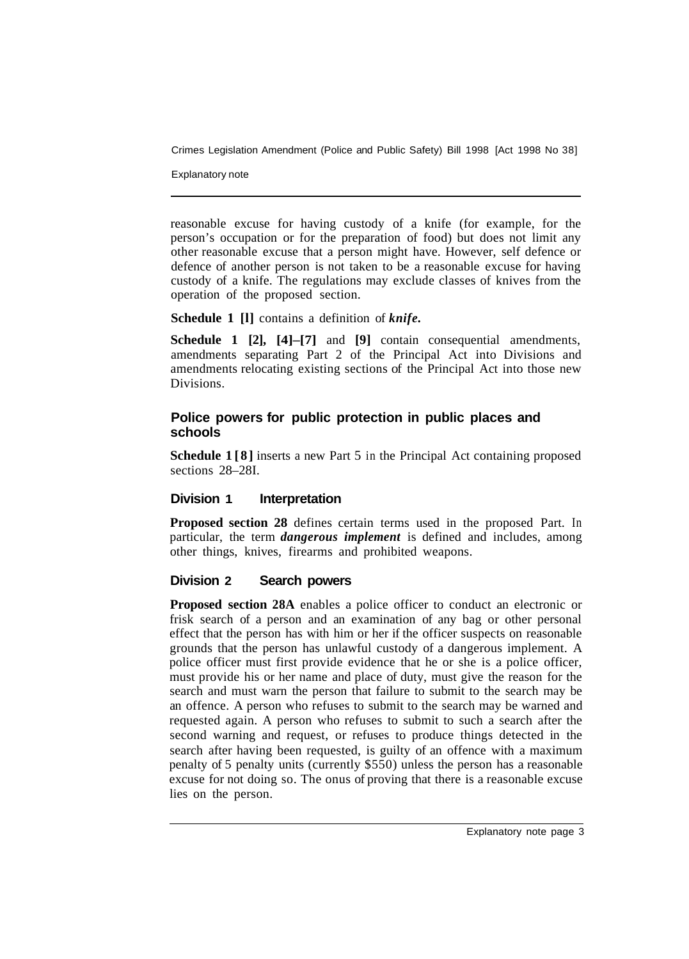Explanatory note

reasonable excuse for having custody of a knife (for example, for the person's occupation or for the preparation of food) but does not limit any other reasonable excuse that a person might have. However, self defence or defence of another person is not taken to be a reasonable excuse for having custody of a knife. The regulations may exclude classes of knives from the operation of the proposed section.

**Schedule 1 [l]** contains a definition of *knife.* 

**Schedule 1 [2], [4]–[7]** and **[9]** contain consequential amendments, amendments separating Part 2 of the Principal Act into Divisions and amendments relocating existing sections of the Principal Act into those new Divisions.

#### **Police powers for public protection in public places and schools**

**Schedule 1 [8]** inserts a new Part 5 in the Principal Act containing proposed sections 28–28I.

#### **Division 1 Interpretation**

**Proposed section 28** defines certain terms used in the proposed Part. In particular, the term *dangerous implement* is defined and includes, among other things, knives, firearms and prohibited weapons.

#### **Division 2 Search powers**

**Proposed section 28A** enables a police officer to conduct an electronic or frisk search of a person and an examination of any bag or other personal effect that the person has with him or her if the officer suspects on reasonable grounds that the person has unlawful custody of a dangerous implement. A police officer must first provide evidence that he or she is a police officer, must provide his or her name and place of duty, must give the reason for the search and must warn the person that failure to submit to the search may be an offence. A person who refuses to submit to the search may be warned and requested again. A person who refuses to submit to such a search after the second warning and request, or refuses to produce things detected in the search after having been requested, is guilty of an offence with a maximum penalty of 5 penalty units (currently \$550) unless the person has a reasonable excuse for not doing so. The onus of proving that there is a reasonable excuse lies on the person.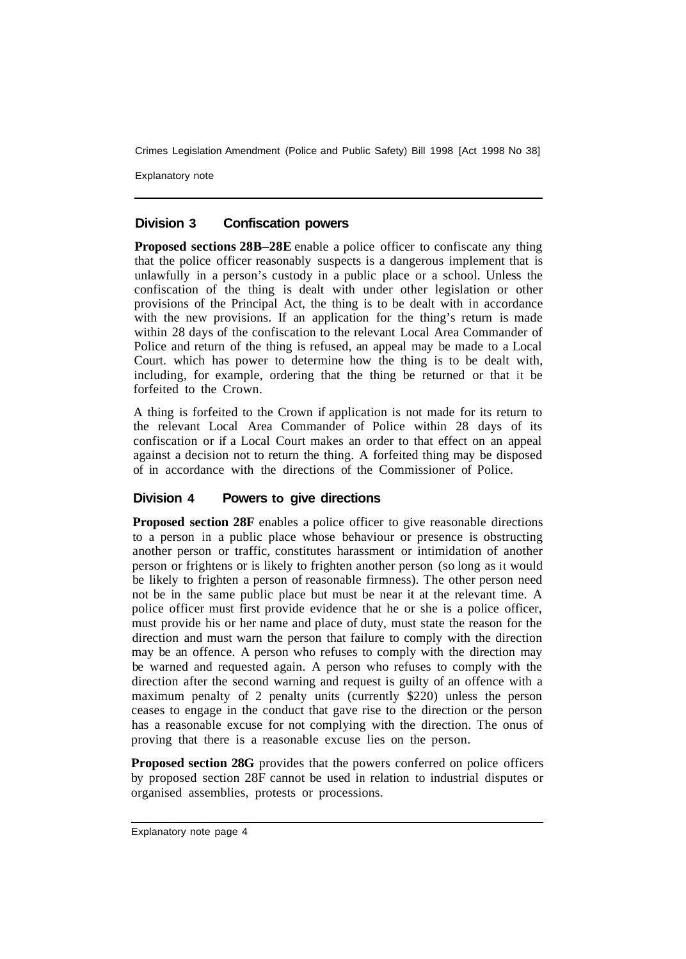Explanatory note

#### **Division 3 Confiscation powers**

**Proposed sections 28B–28E** enable a police officer to confiscate any thing that the police officer reasonably suspects is a dangerous implement that is unlawfully in a person's custody in a public place or a school. Unless the confiscation of the thing is dealt with under other legislation or other provisions of the Principal Act, the thing is to be dealt with in accordance with the new provisions. If an application for the thing's return is made within 28 days of the confiscation to the relevant Local Area Commander of Police and return of the thing is refused, an appeal may be made to a Local Court. which has power to determine how the thing is to be dealt with, including, for example, ordering that the thing be returned or that it be forfeited to the Crown.

A thing is forfeited to the Crown if application is not made for its return to the relevant Local Area Commander of Police within 28 days of its confiscation or if a Local Court makes an order to that effect on an appeal against a decision not to return the thing. A forfeited thing may be disposed of in accordance with the directions of the Commissioner of Police.

#### **Division 4 Powers to give directions**

**Proposed section 28F** enables a police officer to give reasonable directions to a person in a public place whose behaviour or presence is obstructing another person or traffic, constitutes harassment or intimidation of another person or frightens or is likely to frighten another person (so long as it would be likely to frighten a person of reasonable firmness). The other person need not be in the same public place but must be near it at the relevant time. A police officer must first provide evidence that he or she is a police officer, must provide his or her name and place of duty, must state the reason for the direction and must warn the person that failure to comply with the direction may be an offence. A person who refuses to comply with the direction may be warned and requested again. A person who refuses to comply with the direction after the second warning and request is guilty of an offence with a maximum penalty of 2 penalty units (currently \$220) unless the person ceases to engage in the conduct that gave rise to the direction or the person has a reasonable excuse for not complying with the direction. The onus of proving that there is a reasonable excuse lies on the person.

**Proposed section 28G** provides that the powers conferred on police officers by proposed section 28F cannot be used in relation to industrial disputes or organised assemblies, protests or processions.